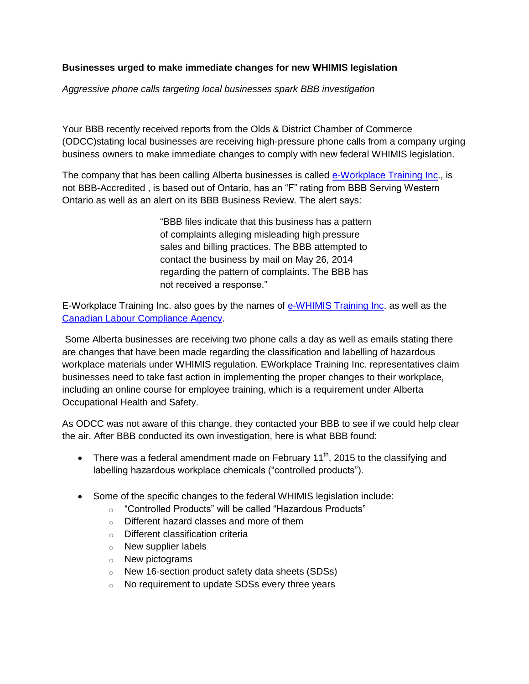## **Businesses urged to make immediate changes for new WHIMIS legislation**

*Aggressive phone calls targeting local businesses spark BBB investigation*

Your BBB recently received reports from the Olds & District Chamber of Commerce (ODCC)stating local businesses are receiving high-pressure phone calls from a company urging business owners to make immediate changes to comply with new federal WHIMIS legislation.

The company that has been calling Alberta businesses is called [e-Workplace Training](http://www.eworkplacetraining.com/) Inc., is not BBB-Accredited , is based out of Ontario, has an "F" rating from BBB Serving Western Ontario as well as an alert on its BBB Business Review. The alert says:

> "BBB files indicate that this business has a pattern of complaints alleging misleading high pressure sales and billing practices. The BBB attempted to contact the business by mail on May 26, 2014 regarding the pattern of complaints. The BBB has not received a response."

E-Workplace Training Inc. also goes by the names of [e-WHIMIS Training Inc.](http://www.ewhmis.com/) as well as the [Canadian Labour Compliance Agency.](http://www.clca.ca/)

Some Alberta businesses are receiving two phone calls a day as well as emails stating there are changes that have been made regarding the classification and labelling of hazardous workplace materials under WHIMIS regulation. EWorkplace Training Inc. representatives claim businesses need to take fast action in implementing the proper changes to their workplace, including an online course for employee training, which is a requirement under Alberta Occupational Health and Safety.

As ODCC was not aware of this change, they contacted your BBB to see if we could help clear the air. After BBB conducted its own investigation, here is what BBB found:

- There was a federal amendment made on February 11<sup>th</sup>, 2015 to the classifying and labelling hazardous workplace chemicals ("controlled products").
- Some of the specific changes to the federal WHIMIS legislation include:
	- o "Controlled Products" will be called "Hazardous Products"
	- o Different hazard classes and more of them
	- o Different classification criteria
	- o New supplier labels
	- o New pictograms
	- o New 16-section product safety data sheets (SDSs)
	- o No requirement to update SDSs every three years